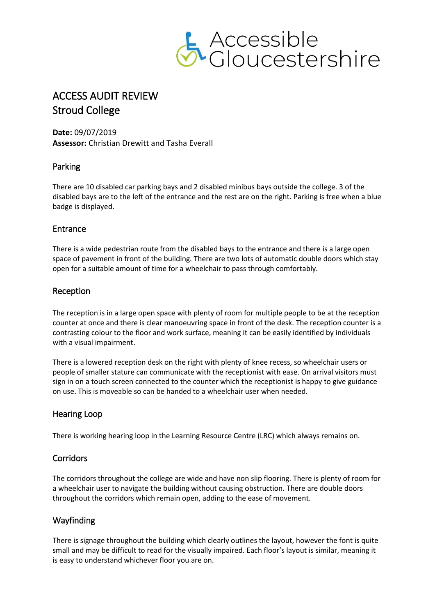

# ACCESS AUDIT REVIEW Stroud College

**Date:** 09/07/2019 **Assessor:** Christian Drewitt and Tasha Everall

## Parking

There are 10 disabled car parking bays and 2 disabled minibus bays outside the college. 3 of the disabled bays are to the left of the entrance and the rest are on the right. Parking is free when a blue badge is displayed.

## Entrance

There is a wide pedestrian route from the disabled bays to the entrance and there is a large open space of pavement in front of the building. There are two lots of automatic double doors which stay open for a suitable amount of time for a wheelchair to pass through comfortably.

## Reception

The reception is in a large open space with plenty of room for multiple people to be at the reception counter at once and there is clear manoeuvring space in front of the desk. The reception counter is a contrasting colour to the floor and work surface, meaning it can be easily identified by individuals with a visual impairment.

There is a lowered reception desk on the right with plenty of knee recess, so wheelchair users or people of smaller stature can communicate with the receptionist with ease. On arrival visitors must sign in on a touch screen connected to the counter which the receptionist is happy to give guidance on use. This is moveable so can be handed to a wheelchair user when needed.

## Hearing Loop

There is working hearing loop in the Learning Resource Centre (LRC) which always remains on.

## **Corridors**

The corridors throughout the college are wide and have non slip flooring. There is plenty of room for a wheelchair user to navigate the building without causing obstruction. There are double doors throughout the corridors which remain open, adding to the ease of movement.

# Wayfinding

There is signage throughout the building which clearly outlines the layout, however the font is quite small and may be difficult to read for the visually impaired. Each floor's layout is similar, meaning it is easy to understand whichever floor you are on.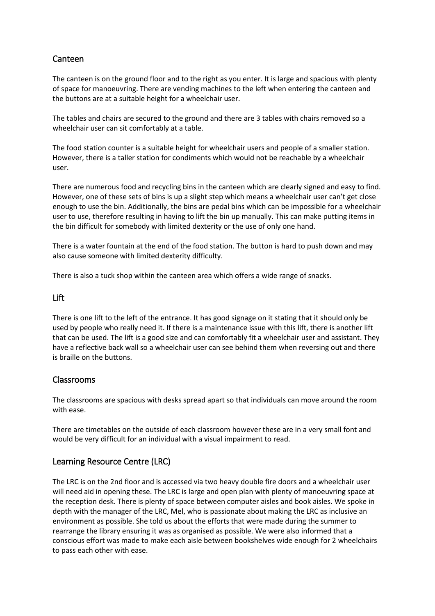## Canteen

The canteen is on the ground floor and to the right as you enter. It is large and spacious with plenty of space for manoeuvring. There are vending machines to the left when entering the canteen and the buttons are at a suitable height for a wheelchair user.

The tables and chairs are secured to the ground and there are 3 tables with chairs removed so a wheelchair user can sit comfortably at a table.

The food station counter is a suitable height for wheelchair users and people of a smaller station. However, there is a taller station for condiments which would not be reachable by a wheelchair user.

There are numerous food and recycling bins in the canteen which are clearly signed and easy to find. However, one of these sets of bins is up a slight step which means a wheelchair user can't get close enough to use the bin. Additionally, the bins are pedal bins which can be impossible for a wheelchair user to use, therefore resulting in having to lift the bin up manually. This can make putting items in the bin difficult for somebody with limited dexterity or the use of only one hand.

There is a water fountain at the end of the food station. The button is hard to push down and may also cause someone with limited dexterity difficulty.

There is also a tuck shop within the canteen area which offers a wide range of snacks.

#### Lift

There is one lift to the left of the entrance. It has good signage on it stating that it should only be used by people who really need it. If there is a maintenance issue with this lift, there is another lift that can be used. The lift is a good size and can comfortably fit a wheelchair user and assistant. They have a reflective back wall so a wheelchair user can see behind them when reversing out and there is braille on the buttons.

## Classrooms

The classrooms are spacious with desks spread apart so that individuals can move around the room with ease.

There are timetables on the outside of each classroom however these are in a very small font and would be very difficult for an individual with a visual impairment to read.

## Learning Resource Centre (LRC)

The LRC is on the 2nd floor and is accessed via two heavy double fire doors and a wheelchair user will need aid in opening these. The LRC is large and open plan with plenty of manoeuvring space at the reception desk. There is plenty of space between computer aisles and book aisles. We spoke in depth with the manager of the LRC, Mel, who is passionate about making the LRC as inclusive an environment as possible. She told us about the efforts that were made during the summer to rearrange the library ensuring it was as organised as possible. We were also informed that a conscious effort was made to make each aisle between bookshelves wide enough for 2 wheelchairs to pass each other with ease.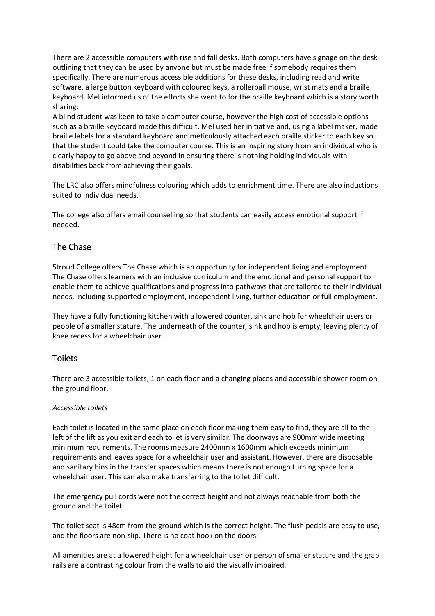There are 2 accessible computers with rise and fall desks. Both computers have signage on the desk outlining that they can be used by anyone but must be made free if somebody requires them specifically. There are numerous accessible additions for these desks, including read and write software, a large button keyboard with coloured keys, a rollerball mouse, wrist mats and a braille keyboard. Mel informed us of the efforts she went to for the braille keyboard which is a story worth sharing:

A blind student was keen to take a computer course, however the high cost of accessible options such as a braille keyboard made this difficult. Mel used her initiative and, using a label maker, made braille labels for a standard keyboard and meticulously attached each braille sticker to each key so that the student could take the computer course. This is an inspiring story from an individual who is clearly happy to go above and beyond in ensuring there is nothing holding individuals with disabilities back from achieving their goals.

The LRC also offers mindfulness colouring which adds to enrichment time. There are also inductions suited to individual needs.

The college also offers email counselling so that students can easily access emotional support if needed.

## The Chase

Stroud College offers The Chase which is an opportunity for independent living and employment. The Chase offers learners with an inclusive curriculum and the emotional and personal support to enable them to achieve qualifications and progress into pathways that are tailored to their individual needs, including supported employment, independent living, further education or full employment.

They have a fully functioning kitchen with a lowered counter, sink and hob for wheelchair users or people of a smaller stature. The underneath of the counter, sink and hob is empty, leaving plenty of knee recess for a wheelchair user.

#### Toilets

There are 3 accessible toilets, 1 on each floor and a changing places and accessible shower room on the ground floor.

#### *Accessible toilets*

Each toilet is located in the same place on each floor making them easy to find, they are all to the left of the lift as you exit and each toilet is very similar. The doorways are 900mm wide meeting minimum requirements. The rooms measure 2400mm x 1600mm which exceeds minimum requirements and leaves space for a wheelchair user and assistant. However, there are disposable and sanitary bins in the transfer spaces which means there is not enough turning space for a wheelchair user. This can also make transferring to the toilet difficult.

The emergency pull cords were not the correct height and not always reachable from both the ground and the toilet.

The toilet seat is 48cm from the ground which is the correct height. The flush pedals are easy to use, and the floors are non-slip. There is no coat hook on the doors.

All amenities are at a lowered height for a wheelchair user or person of smaller stature and the grab rails are a contrasting colour from the walls to aid the visually impaired.